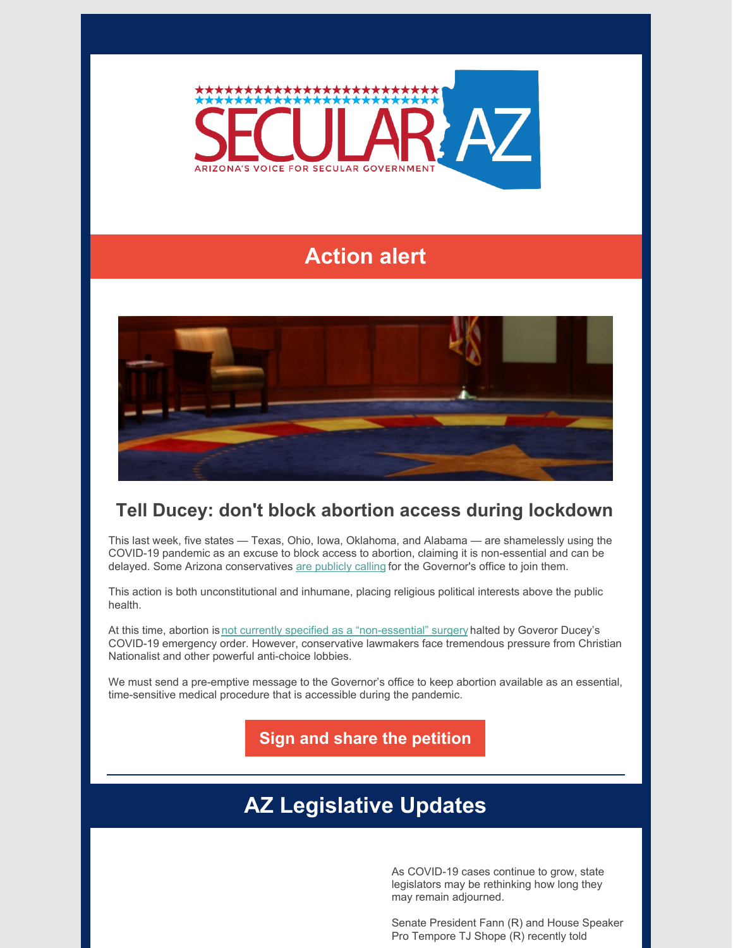

## **Action alert**



## **Tell Ducey: don't block abortion access during lockdown**

This last week, five states — Texas, Ohio, Iowa, Oklahoma, and Alabama — are shamelessly using the COVID-19 pandemic as an excuse to block access to abortion, claiming it is non-essential and can be delayed. Some Arizona conservatives are [publicly](https://www.facebook.com/secularaz/photos/pb.149061958445435.-2207520000../3177150958969838/?type=3&theater) calling for the Governor's office to join them.

This action is both unconstitutional and inhumane, placing religious political interests above the public health.

At this time, abortion is not currently specified as a ["non-essential"](https://kjzz.org/content/1509716/arizona-ban-non-essential-surgeries-will-not-include-abortions) surgery halted by Goveror Ducey's COVID-19 emergency order. However, conservative lawmakers face tremendous pressure from Christian Nationalist and other powerful anti-choice lobbies.

We must send a pre-emptive message to the Governor's office to keep abortion available as an essential, time-sensitive medical procedure that is accessible during the pandemic.

**Sign and share the [petition](https://p2a.co/Gtc2CN4)**

## **AZ Legislative Updates**

As COVID-19 cases continue to grow, state legislators may be rethinking how long they may remain adjourned.

Senate President Fann (R) and House Speaker Pro Tempore TJ Shope (R) recently told